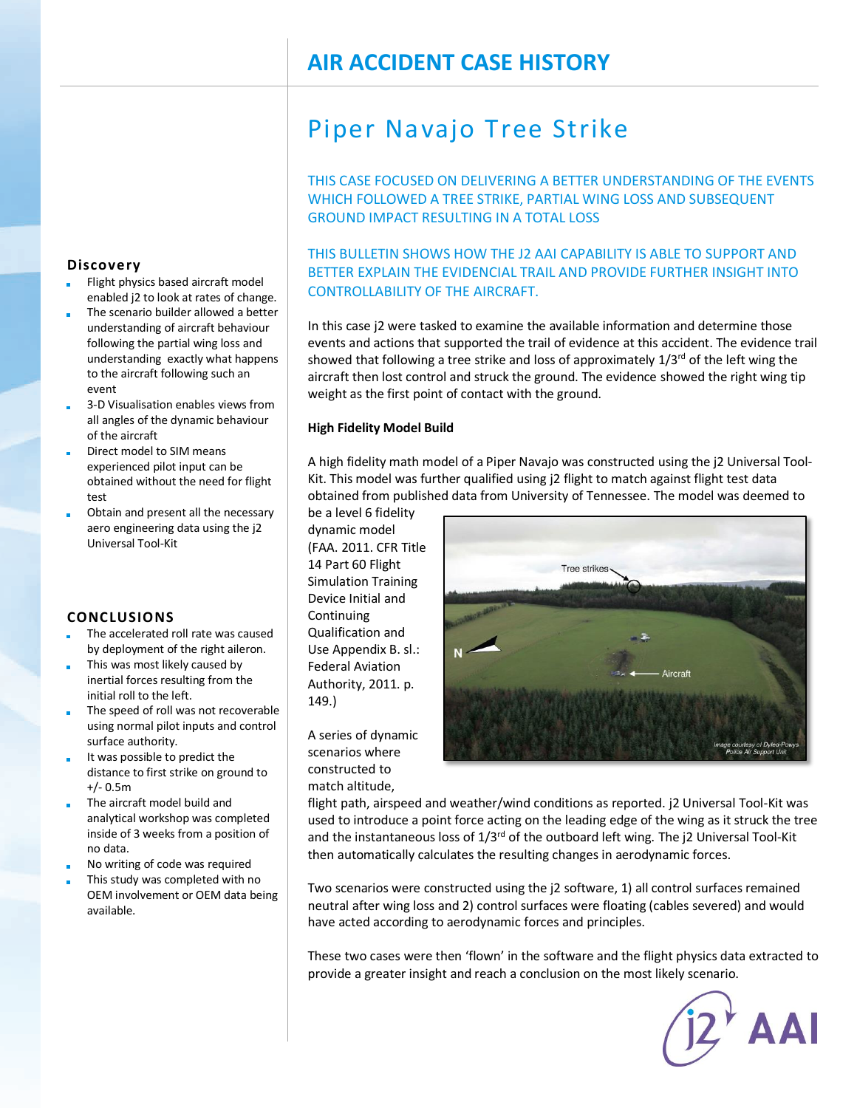## **AIR ACCIDENT CASE HISTORY**

# Piper Navajo Tree Strike

THIS CASE FOCUSED ON DELIVERING A BETTER UNDERSTANDING OF THE EVENTS WHICH FOLLOWED A TREE STRIKE, PARTIAL WING LOSS AND SUBSEQUENT GROUND IMPACT RESULTING IN A TOTAL LOSS

## THIS BULLETIN SHOWS HOW THE J2 AAI CAPABILITY IS ABLE TO SUPPORT AND BETTER EXPLAIN THE EVIDENCIAL TRAIL AND PROVIDE FURTHER INSIGHT INTO CONTROLLABILITY OF THE AIRCRAFT.

In this case j2 were tasked to examine the available information and determine those events and actions that supported the trail of evidence at this accident. The evidence trail showed that following a tree strike and loss of approximately  $1/3^{rd}$  of the left wing the aircraft then lost control and struck the ground. The evidence showed the right wing tip weight as the first point of contact with the ground.

#### **High Fidelity Model Build**

A high fidelity math model of a Piper Navajo was constructed using the j2 Universal Tool-Kit. This model was further qualified using j2 flight to match against flight test data obtained from published data from University of Tennessee. The model was deemed to

be a level 6 fidelity dynamic model (FAA. 2011. CFR Title 14 Part 60 Flight Simulation Training Device Initial and Continuing Qualification and Use Appendix B. sl.: Federal Aviation Authority, 2011. p. 149.)

A series of dynamic scenarios where constructed to match altitude,

Tree strikes

flight path, airspeed and weather/wind conditions as reported. j2 Universal Tool-Kit was used to introduce a point force acting on the leading edge of the wing as it struck the tree and the instantaneous loss of  $1/3^{rd}$  of the outboard left wing. The j2 Universal Tool-Kit then automatically calculates the resulting changes in aerodynamic forces.

Two scenarios were constructed using the j2 software, 1) all control surfaces remained neutral after wing loss and 2) control surfaces were floating (cables severed) and would have acted according to aerodynamic forces and principles.

These two cases were then 'flown' in the software and the flight physics data extracted to provide a greater insight and reach a conclusion on the most likely scenario.

 $j2^{\star}$  AAI

### **Discovery**

- Flight physics based aircraft model enabled j2 to look at rates of change.
- The scenario builder allowed a better understanding of aircraft behaviour following the partial wing loss and understanding exactly what happens to the aircraft following such an event
- 3-D Visualisation enables views from all angles of the dynamic behaviour of the aircraft
- Direct model to SIM means experienced pilot input can be obtained without the need for flight test
- Obtain and present all the necessary aero engineering data using the j2 Universal Tool-Kit

#### **CONCLUSIONS**

- The accelerated roll rate was caused by deployment of the right aileron.
- This was most likely caused by inertial forces resulting from the initial roll to the left.
- The speed of roll was not recoverable using normal pilot inputs and control surface authority.
- It was possible to predict the distance to first strike on ground to +/- 0.5m
- The aircraft model build and analytical workshop was completed inside of 3 weeks from a position of no data.
- No writing of code was required
- This study was completed with no OEM involvement or OEM data being available.